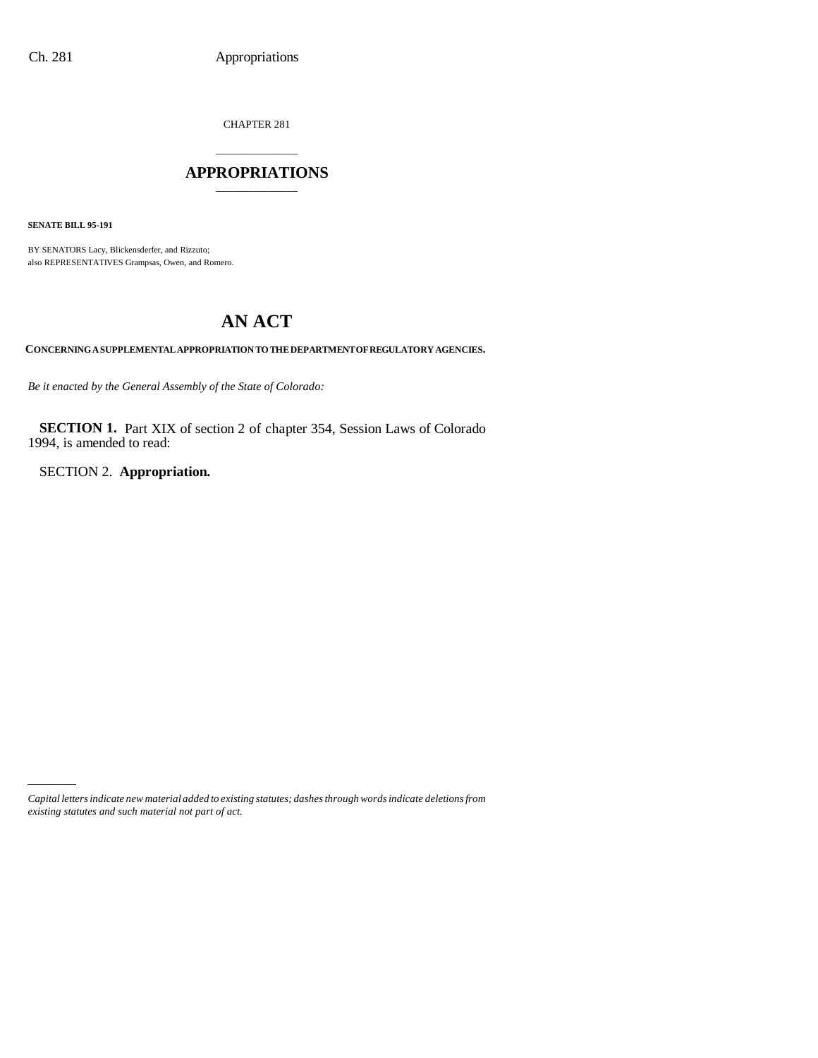CHAPTER 281

## \_\_\_\_\_\_\_\_\_\_\_\_\_\_\_ **APPROPRIATIONS** \_\_\_\_\_\_\_\_\_\_\_\_\_\_\_

**SENATE BILL 95-191**

BY SENATORS Lacy, Blickensderfer, and Rizzuto; also REPRESENTATIVES Grampsas, Owen, and Romero.

# **AN ACT**

**CONCERNING A SUPPLEMENTAL APPROPRIATION TO THE DEPARTMENT OF REGULATORY AGENCIES.**

*Be it enacted by the General Assembly of the State of Colorado:*

**SECTION 1.** Part XIX of section 2 of chapter 354, Session Laws of Colorado 1994, is amended to read:

SECTION 2. **Appropriation.**

*Capital letters indicate new material added to existing statutes; dashes through words indicate deletions from existing statutes and such material not part of act.*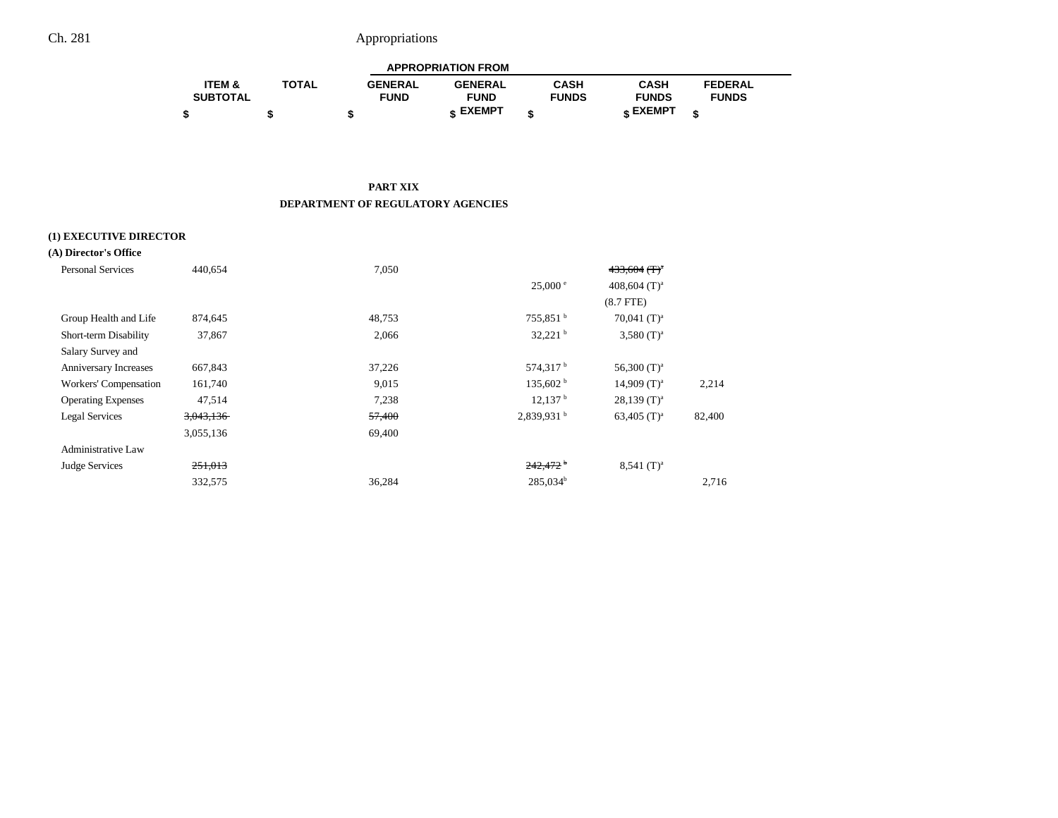|                   |              |                | <b>APPROPRIATION FROM</b> |              |              |                |  |
|-------------------|--------------|----------------|---------------------------|--------------|--------------|----------------|--|
| <b>ITEM &amp;</b> | <b>TOTAL</b> | <b>GENERAL</b> | <b>GENERAL</b>            | CASH         | CASH         | <b>FEDERAL</b> |  |
| <b>SUBTOTAL</b>   |              | <b>FUND</b>    | <b>FUND</b>               | <b>FUNDS</b> | <b>FUNDS</b> | <b>FUNDS</b>   |  |
|                   |              |                | c EXEMPT                  |              | e EXEMPT ه   |                |  |

#### **PART XIX DEPARTMENT OF REGULATORY AGENCIES**

## **(1) EXECUTIVE DIRECTOR**

| (A) Director's Office     |           |        |                          |                            |        |
|---------------------------|-----------|--------|--------------------------|----------------------------|--------|
| <b>Personal Services</b>  | 440,654   | 7,050  |                          | $433,604$ (T) <sup>a</sup> |        |
|                           |           |        | $25,000^{\circ}$         | 408,604 $(T)^a$            |        |
|                           |           |        |                          | $(8.7$ FTE $)$             |        |
| Group Health and Life     | 874,645   | 48,753 | $755,851$ <sup>b</sup>   | 70,041 $(T)^a$             |        |
| Short-term Disability     | 37,867    | 2,066  | 32,221                   | $3,580$ (T) <sup>a</sup>   |        |
| Salary Survey and         |           |        |                          |                            |        |
| Anniversary Increases     | 667,843   | 37,226 | 574,317 <sup>b</sup>     | 56,300 $(T)^a$             |        |
| Workers' Compensation     | 161,740   | 9,015  | 135,602 h                | $14,909$ (T) <sup>a</sup>  | 2,214  |
| <b>Operating Expenses</b> | 47,514    | 7,238  | 12,137 <sup>b</sup>      | $28,139$ (T) <sup>a</sup>  |        |
| Legal Services            | 3,043,136 | 57,400 | $2,839,931$ <sup>b</sup> | 63,405 $(T)^a$             | 82,400 |
|                           | 3,055,136 | 69,400 |                          |                            |        |
| <b>Administrative Law</b> |           |        |                          |                            |        |
| Judge Services            | 251,013   |        | $242,472$ <sup>b</sup>   | $8,541$ (T) <sup>a</sup>   |        |
|                           | 332,575   | 36,284 | $285,034^b$              |                            | 2,716  |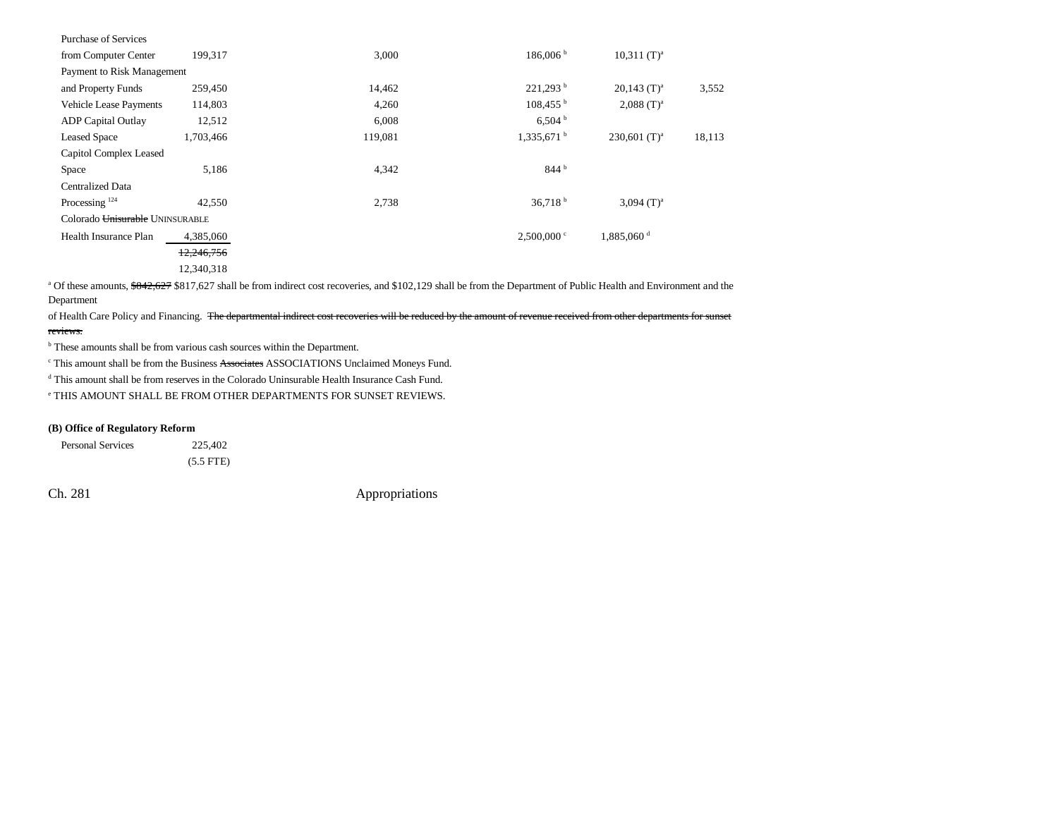| Purchase of Services            |            |         |                          |                           |        |
|---------------------------------|------------|---------|--------------------------|---------------------------|--------|
| from Computer Center            | 199,317    | 3,000   | 186,006 <sup>b</sup>     | $10,311$ (T) <sup>a</sup> |        |
| Payment to Risk Management      |            |         |                          |                           |        |
| and Property Funds              | 259,450    | 14,462  | 221,293 <sup>b</sup>     | $20,143$ (T) <sup>a</sup> | 3,552  |
| <b>Vehicle Lease Payments</b>   | 114,803    | 4,260   | $108,455^{\mathrm{b}}$   | $2,088$ (T) <sup>a</sup>  |        |
| <b>ADP</b> Capital Outlay       | 12,512     | 6,008   | 6,504 <sup>b</sup>       |                           |        |
| <b>Leased Space</b>             | 1,703,466  | 119,081 | $1,335,671$ <sup>b</sup> | 230,601 $(T)^a$           | 18,113 |
| Capitol Complex Leased          |            |         |                          |                           |        |
| Space                           | 5,186      | 4,342   | 844 <sup>b</sup>         |                           |        |
| <b>Centralized Data</b>         |            |         |                          |                           |        |
| Processing $124$                | 42,550     | 2,738   | 36,718 <sup>b</sup>      | 3,094 $(T)^a$             |        |
| Colorado Unisurable UNINSURABLE |            |         |                          |                           |        |
| Health Insurance Plan           | 4,385,060  |         | $2,500,000$ c            | 1,885,060 <sup>d</sup>    |        |
|                                 | 12,246,756 |         |                          |                           |        |
|                                 | 12,340,318 |         |                          |                           |        |

<sup>a</sup> Of these amounts, \$842,627 \$817,627 shall be from indirect cost recoveries, and \$102,129 shall be from the Department of Public Health and Environment and the Department

of Health Care Policy and Financing. The departmental indirect cost recoveries will be reduced by the amount of revenue received from other departments for sunset reviews.

**b** These amounts shall be from various cash sources within the Department.

c This amount shall be from the Business Associates ASSOCIATIONS Unclaimed Moneys Fund.

d This amount shall be from reserves in the Colorado Uninsurable Health Insurance Cash Fund.

e THIS AMOUNT SHALL BE FROM OTHER DEPARTMENTS FOR SUNSET REVIEWS.

#### **(B) Office of Regulatory Reform**

Personal Services 225,402 (5.5 FTE)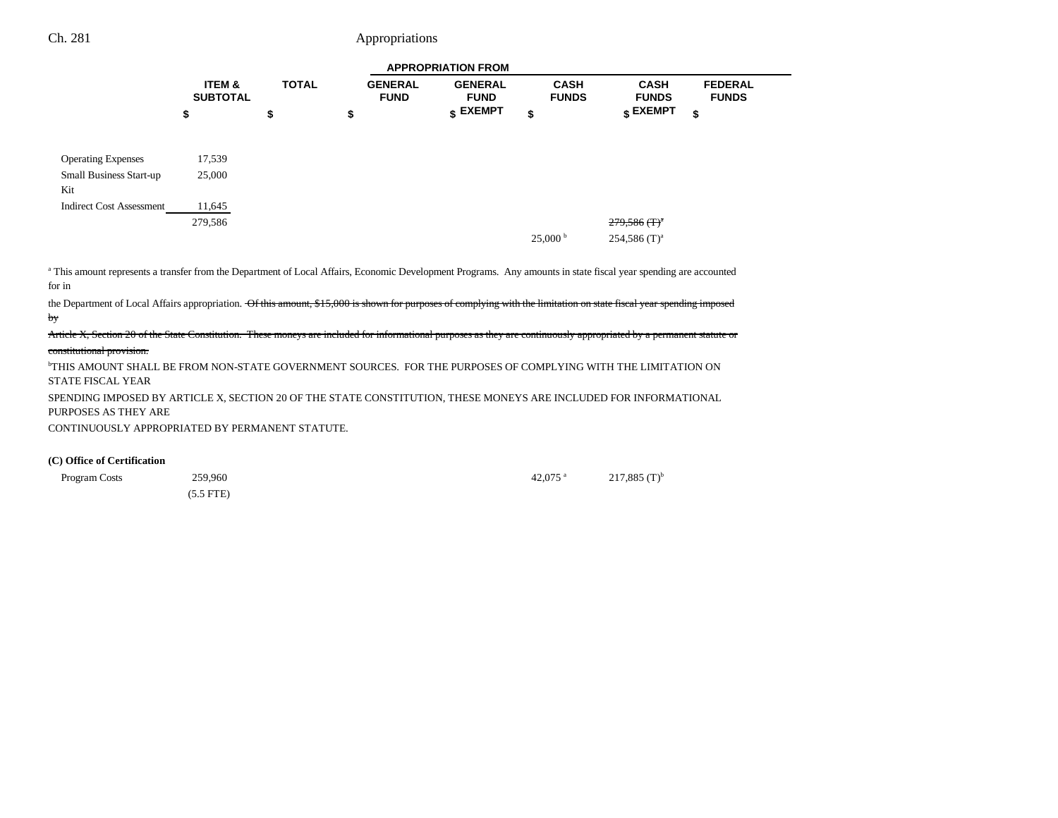|                                       |                                      |              |                               | <b>APPROPRIATION FROM</b>        |                             |                             |                                |
|---------------------------------------|--------------------------------------|--------------|-------------------------------|----------------------------------|-----------------------------|-----------------------------|--------------------------------|
|                                       | <b>ITEM &amp;</b><br><b>SUBTOTAL</b> | <b>TOTAL</b> | <b>GENERAL</b><br><b>FUND</b> | <b>GENERAL</b><br><b>FUND</b>    | <b>CASH</b><br><b>FUNDS</b> | <b>CASH</b><br><b>FUNDS</b> | <b>FEDERAL</b><br><b>FUNDS</b> |
|                                       | \$                                   | \$           | \$                            | $\boldsymbol{\mathsf{s}}$ EXEMPT | \$                          | \$ EXEMPT                   | \$                             |
|                                       |                                      |              |                               |                                  |                             |                             |                                |
| <b>Operating Expenses</b>             | 17,539                               |              |                               |                                  |                             |                             |                                |
| <b>Small Business Start-up</b><br>Kit | 25,000                               |              |                               |                                  |                             |                             |                                |
| <b>Indirect Cost Assessment</b>       | 11,645                               |              |                               |                                  |                             |                             |                                |
|                                       | 279,586                              |              |                               |                                  |                             | $279,586$ (T) <sup>a</sup>  |                                |
|                                       |                                      |              |                               |                                  | $25,000^{\mathrm{b}}$       | $254,586$ (T) <sup>a</sup>  |                                |

a This amount represents a transfer from the Department of Local Affairs, Economic Development Programs. Any amounts in state fiscal year spending are accounted for in

the Department of Local Affairs appropriation. Of this amount, \$15,000 is shown for purposes of complying with the limitation on state fiscal year spending imposed by

Article X, Section 20 of the State Constitution. These moneys are included for informational purposes as they are continuously appropriated by a permanent statute or constitutional provision.

bTHIS AMOUNT SHALL BE FROM NON-STATE GOVERNMENT SOURCES. FOR THE PURPOSES OF COMPLYING WITH THE LIMITATION ON STATE FISCAL YEAR

SPENDING IMPOSED BY ARTICLE X, SECTION 20 OF THE STATE CONSTITUTION, THESE MONEYS ARE INCLUDED FOR INFORMATIONAL PURPOSES AS THEY ARE

CONTINUOUSLY APPROPRIATED BY PERMANENT STATUTE.

#### **(C) Office of Certification**

Program Costs 259,960 259,960 259,960 259,960  $42,075$  a  $217,885$  (T)b (5.5 FTE)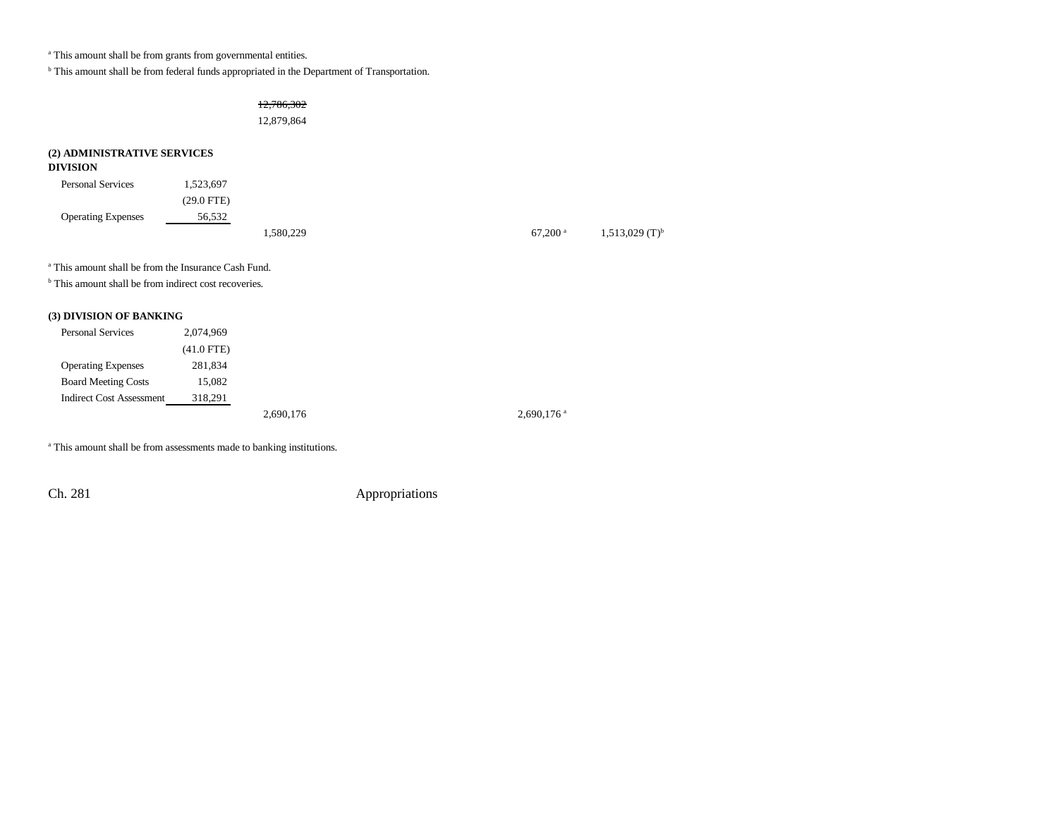<sup>a</sup> This amount shall be from grants from governmental entities.

b This amount shall be from federal funds appropriated in the Department of Transportation.

12,786,302

12,879,864

# **(2) ADMINISTRATIVE SERVICES**

## **DIVISION**

| <b>Personal Services</b>  | 1,523,697  |          |  |                       |                              |
|---------------------------|------------|----------|--|-----------------------|------------------------------|
|                           | (29.0 FTE) |          |  |                       |                              |
| <b>Operating Expenses</b> | 56.532     |          |  |                       |                              |
|                           |            | .580,229 |  | $67.200$ <sup>a</sup> | $1,513,029$ (T) <sup>b</sup> |

a This amount shall be from the Insurance Cash Fund.

<sup>b</sup> This amount shall be from indirect cost recoveries.

## **(3) DIVISION OF BANKING**

| <b>Personal Services</b>        | 2,074,969    |           |                          |
|---------------------------------|--------------|-----------|--------------------------|
|                                 | $(41.0$ FTE) |           |                          |
| <b>Operating Expenses</b>       | 281,834      |           |                          |
| <b>Board Meeting Costs</b>      | 15,082       |           |                          |
| <b>Indirect Cost Assessment</b> | 318,291      |           |                          |
|                                 |              | 2,690,176 | $2,690,176$ <sup>a</sup> |

<sup>a</sup> This amount shall be from assessments made to banking institutions.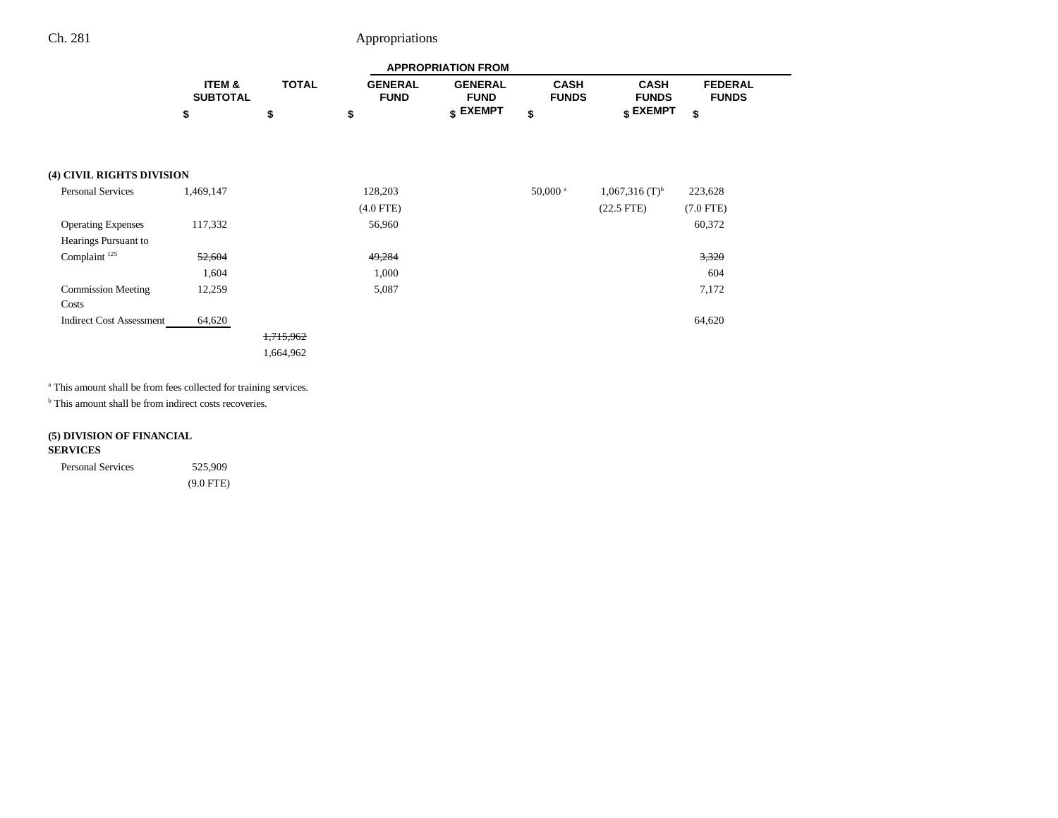|                                    |                           |              |                               | <b>APPROPRIATION FROM</b>     |                             |                              |                                |
|------------------------------------|---------------------------|--------------|-------------------------------|-------------------------------|-----------------------------|------------------------------|--------------------------------|
|                                    | ITEM &<br><b>SUBTOTAL</b> | <b>TOTAL</b> | <b>GENERAL</b><br><b>FUND</b> | <b>GENERAL</b><br><b>FUND</b> | <b>CASH</b><br><b>FUNDS</b> | <b>CASH</b><br><b>FUNDS</b>  | <b>FEDERAL</b><br><b>FUNDS</b> |
|                                    | \$                        | \$           | \$                            | \$ EXEMPT                     | \$                          | \$ EXEMPT                    | \$                             |
| (4) CIVIL RIGHTS DIVISION          |                           |              |                               |                               |                             |                              |                                |
| <b>Personal Services</b>           | 1,469,147                 |              | 128,203                       |                               | $50,000$ <sup>a</sup>       | $1,067,316$ (T) <sup>b</sup> | 223,628                        |
|                                    |                           |              | $(4.0$ FTE)                   |                               |                             | $(22.5$ FTE)                 | $(7.0$ FTE)                    |
| <b>Operating Expenses</b>          | 117,332                   |              | 56,960                        |                               |                             |                              | 60,372                         |
| Hearings Pursuant to               |                           |              |                               |                               |                             |                              |                                |
| Complaint <sup>125</sup>           | 52,604                    |              | 49,284                        |                               |                             |                              | 3,320                          |
|                                    | 1,604                     |              | 1,000                         |                               |                             |                              | 604                            |
| <b>Commission Meeting</b><br>Costs | 12,259                    |              | 5,087                         |                               |                             |                              | 7,172                          |
| <b>Indirect Cost Assessment</b>    | 64,620                    |              |                               |                               |                             |                              | 64,620                         |
|                                    |                           | 1,715,962    |                               |                               |                             |                              |                                |
|                                    |                           | 1,664,962    |                               |                               |                             |                              |                                |

a This amount shall be from fees collected for training services.

<sup>b</sup> This amount shall be from indirect costs recoveries.

## **(5) DIVISION OF FINANCIAL SERVICES**

| <b>Personal Services</b> | 525,909     |
|--------------------------|-------------|
|                          | $(9.0$ FTE) |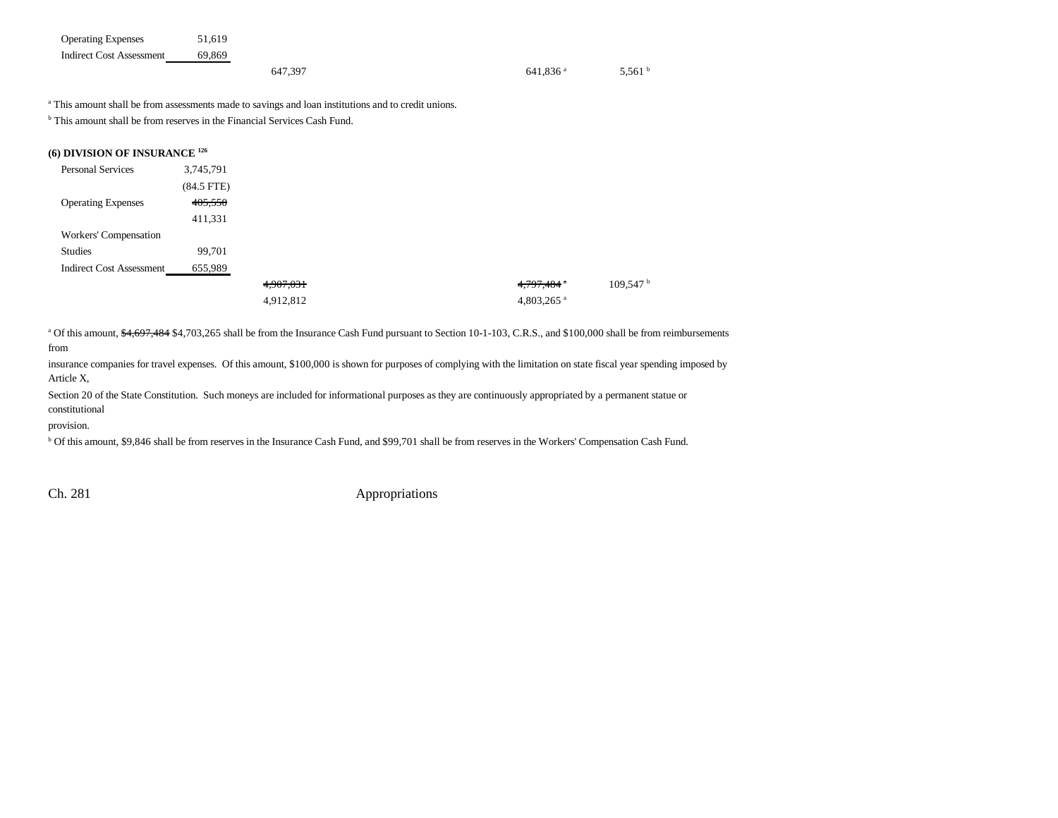| <b>Operating Expenses</b>       | 51.619 |         |                        |                  |
|---------------------------------|--------|---------|------------------------|------------------|
| <b>Indirect Cost Assessment</b> | 69.869 |         |                        |                  |
|                                 |        | 647.397 | $641.836$ <sup>a</sup> | 5.561 $^{\circ}$ |

<sup>a</sup> This amount shall be from assessments made to savings and loan institutions and to credit unions.

<sup>b</sup> This amount shall be from reserves in the Financial Services Cash Fund.

| (6) DIVISION OF INSURANCE <sup>126</sup> |            |           |  |                     |         |
|------------------------------------------|------------|-----------|--|---------------------|---------|
| <b>Personal Services</b>                 | 3,745,791  |           |  |                     |         |
|                                          | (84.5 FTE) |           |  |                     |         |
| <b>Operating Expenses</b>                | 405,550    |           |  |                     |         |
|                                          | 411,331    |           |  |                     |         |
| Workers' Compensation                    |            |           |  |                     |         |
| Studies                                  | 99,701     |           |  |                     |         |
| <b>Indirect Cost Assessment</b>          | 655,989    |           |  |                     |         |
|                                          |            | 4,907,031 |  | 4,797,484 $\degree$ | 109,547 |
|                                          |            | 4,912,812 |  | 4,803,265 $a$       |         |
|                                          |            |           |  |                     |         |

<sup>a</sup> Of this amount,  $\frac{4,697,484}{84,703,265}$  shall be from the Insurance Cash Fund pursuant to Section 10-1-103, C.R.S., and \$100,000 shall be from reimbursements

from

insurance companies for travel expenses. Of this amount, \$100,000 is shown for purposes of complying with the limitation on state fiscal year spending imposed by Article X,

Section 20 of the State Constitution. Such moneys are included for informational purposes as they are continuously appropriated by a permanent statue or constitutional

provision.

<sup>b</sup> Of this amount, \$9,846 shall be from reserves in the Insurance Cash Fund, and \$99,701 shall be from reserves in the Workers' Compensation Cash Fund.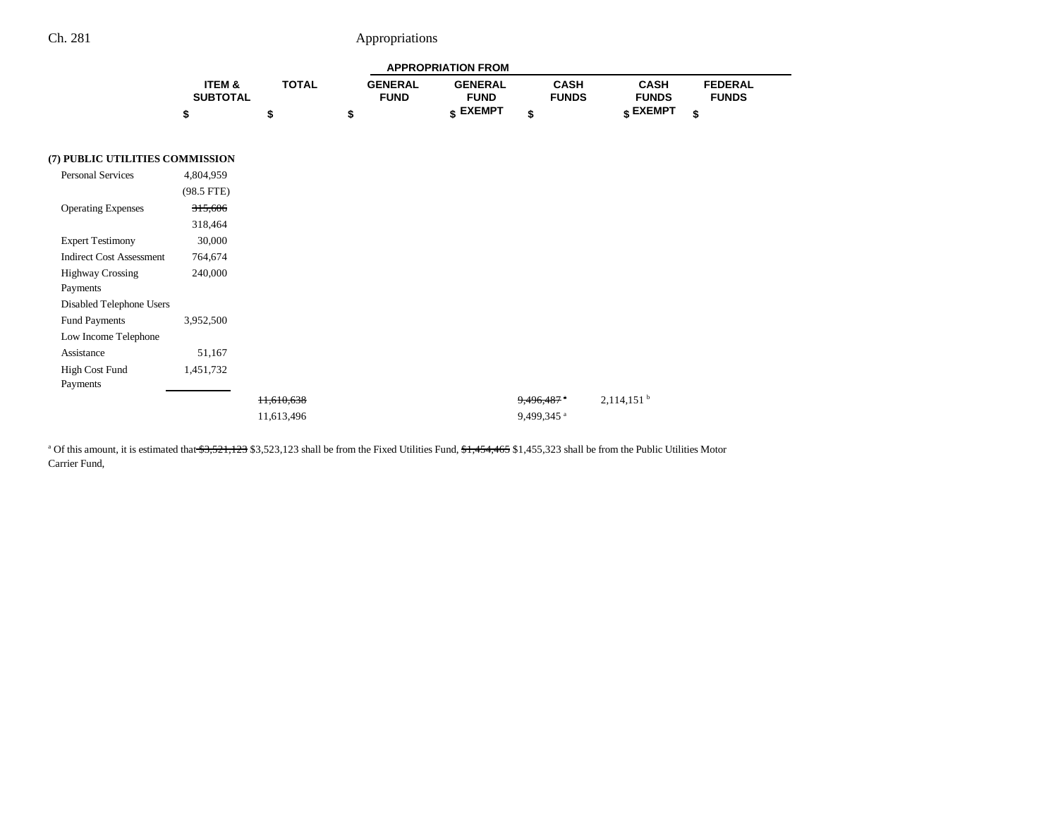|                 |              |                | <b>APPROPRIATION FROM</b> |              |              |                |
|-----------------|--------------|----------------|---------------------------|--------------|--------------|----------------|
| ITEM &          | <b>TOTAL</b> | <b>GENERAL</b> | <b>GENERAL</b>            | CASH         | CASH         | <b>FEDERAL</b> |
| <b>SUBTOTAL</b> |              | <b>FUND</b>    | <b>FUND</b>               | <b>FUNDS</b> | <b>FUNDS</b> | <b>FUNDS</b>   |
|                 |              |                | CXEMPT -                  |              | e EXEMPT     |                |

### **(7) PUBLIC UTILITIES COMMISSION**

| Personal Services               | 4,804,959    |
|---------------------------------|--------------|
|                                 | $(98.5$ FTE) |
| <b>Operating Expenses</b>       | 315,606      |
|                                 | 318,464      |
| <b>Expert Testimony</b>         | 30,000       |
| <b>Indirect Cost Assessment</b> | 764,674      |
| <b>Highway Crossing</b>         | 240,000      |
| Payments                        |              |
| Disabled Telephone Users        |              |
| <b>Fund Payments</b>            | 3,952,500    |
| Low Income Telephone            |              |
| Assistance                      | 51,167       |
| High Cost Fund                  | 1,451,732    |
| Payments                        |              |
|                                 |              |
|                                 |              |

<sup>a</sup> Of this amount, it is estimated that <del>\$3,521,123</del> \$3,523,123 shall be from the Fixed Utilities Fund, \$1,454,465 \$1,455,323 shall be from the Public Utilities Motor Carrier Fund,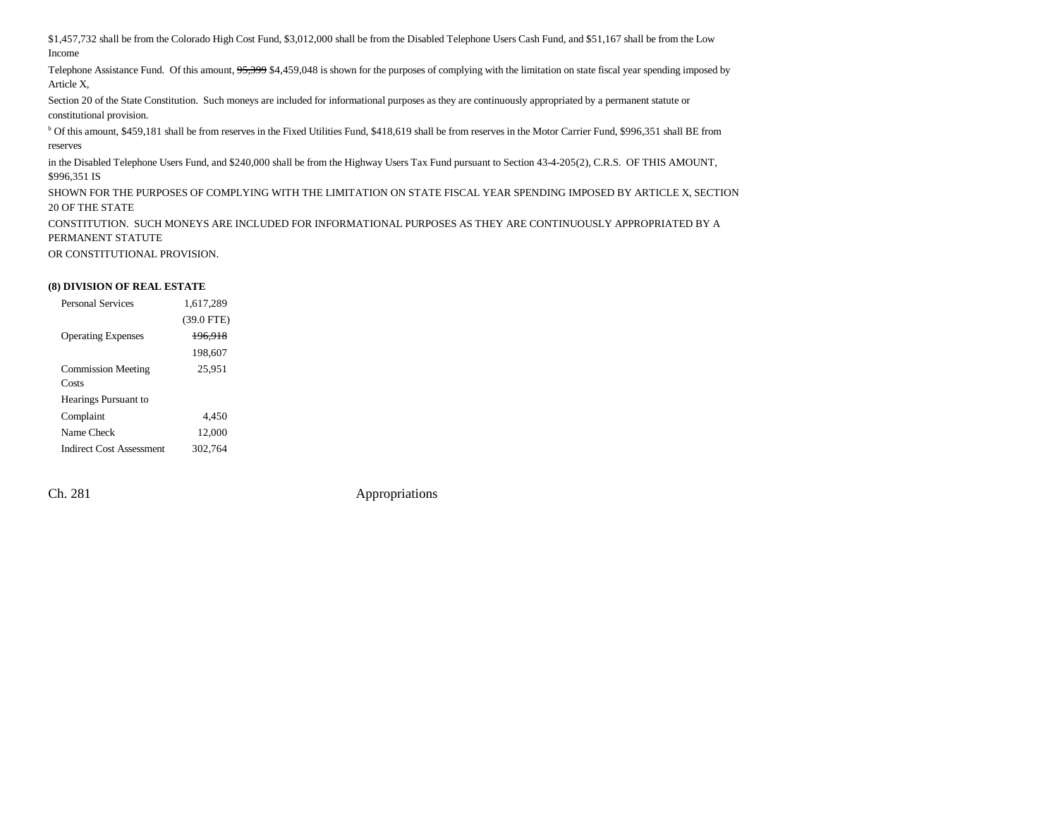\$1,457,732 shall be from the Colorado High Cost Fund, \$3,012,000 shall be from the Disabled Telephone Users Cash Fund, and \$51,167 shall be from the Low Income

Telephone Assistance Fund. Of this amount, 95,399 \$4,459,048 is shown for the purposes of complying with the limitation on state fiscal year spending imposed by Article X,

Section 20 of the State Constitution. Such moneys are included for informational purposes as they are continuously appropriated by a permanent statute or constitutional provision.

b Of this amount, \$459,181 shall be from reserves in the Fixed Utilities Fund, \$418,619 shall be from reserves in the Motor Carrier Fund, \$996,351 shall BE from reserves

in the Disabled Telephone Users Fund, and \$240,000 shall be from the Highway Users Tax Fund pursuant to Section 43-4-205(2), C.R.S. OF THIS AMOUNT, \$996,351 IS

SHOWN FOR THE PURPOSES OF COMPLYING WITH THE LIMITATION ON STATE FISCAL YEAR SPENDING IMPOSED BY ARTICLE X, SECTION 20 OF THE STATE

CONSTITUTION. SUCH MONEYS ARE INCLUDED FOR INFORMATIONAL PURPOSES AS THEY ARE CONTINUOUSLY APPROPRIATED BY A PERMANENT STATUTE

OR CONSTITUTIONAL PROVISION.

#### **(8) DIVISION OF REAL ESTATE**

| <b>Personal Services</b>  | 1,617,289    |  |
|---------------------------|--------------|--|
|                           | $(39.0$ FTE) |  |
| <b>Operating Expenses</b> | 196.918      |  |
|                           | 198.607      |  |
| <b>Commission Meeting</b> | 25,951       |  |
| Costs                     |              |  |
| Hearings Pursuant to      |              |  |
| Complaint                 | 4.450        |  |
| Name Check                | 12,000       |  |
| Indirect Cost Assessment  | 302.764      |  |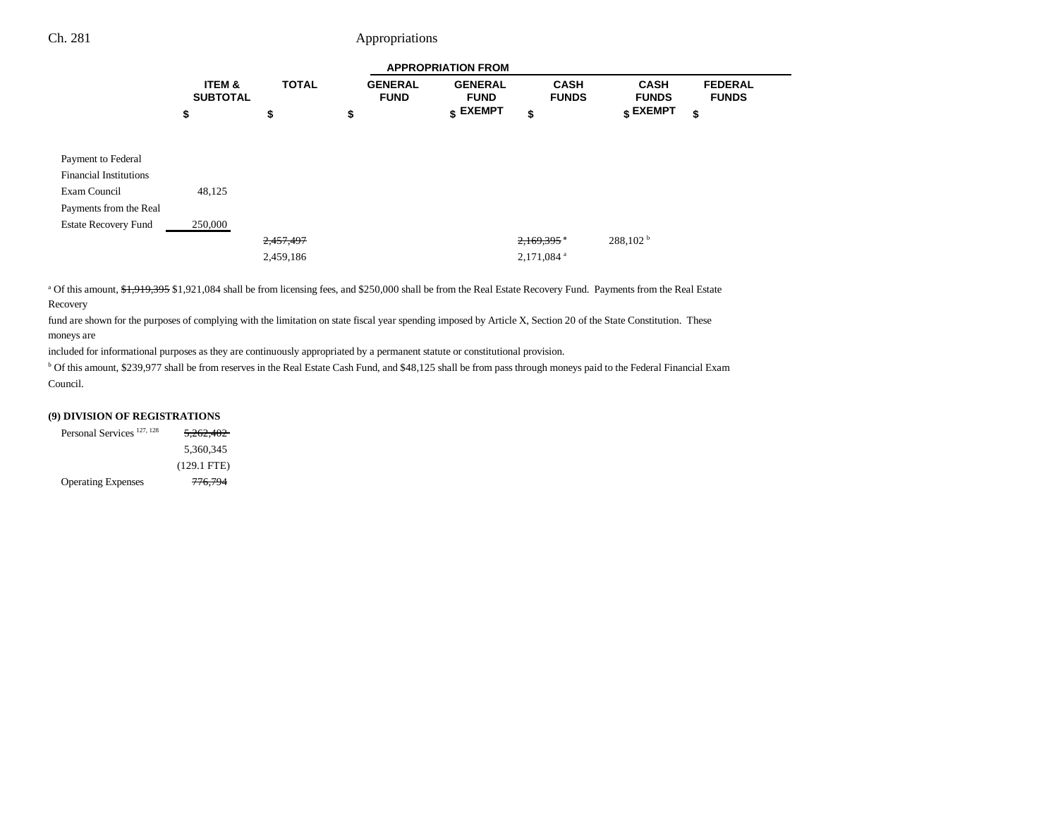|                                      |              |                               | <b>APPROPRIATION FROM</b>     |                             |                             |                                  |
|--------------------------------------|--------------|-------------------------------|-------------------------------|-----------------------------|-----------------------------|----------------------------------|
| <b>ITEM &amp;</b><br><b>SUBTOTAL</b> | <b>TOTAL</b> | <b>GENERAL</b><br><b>FUND</b> | <b>GENERAL</b><br><b>FUND</b> | <b>CASH</b><br><b>FUNDS</b> | <b>CASH</b><br><b>FUNDS</b> | <b>FEDERAL</b><br><b>FUNDS</b>   |
| \$                                   | \$           | \$                            |                               | \$                          |                             | \$                               |
|                                      |              |                               |                               |                             |                             |                                  |
|                                      |              |                               |                               |                             |                             |                                  |
|                                      |              |                               |                               |                             |                             |                                  |
| 48,125                               |              |                               |                               |                             |                             |                                  |
|                                      |              |                               |                               |                             |                             |                                  |
| 250,000                              |              |                               |                               |                             |                             |                                  |
|                                      | 2,457,497    |                               |                               | $2,169,395$ <sup>a</sup>    | 288,102 <sup>b</sup>        |                                  |
|                                      | 2,459,186    |                               |                               | 2,171,084 <sup>a</sup>      |                             |                                  |
|                                      |              |                               |                               | $$$ EXEMPT                  |                             | $\boldsymbol{\mathsf{s}}$ EXEMPT |

<sup>a</sup> Of this amount, \$1,919,395 \$1,921,084 shall be from licensing fees, and \$250,000 shall be from the Real Estate Recovery Fund. Payments from the Real Estate Recovery

fund are shown for the purposes of complying with the limitation on state fiscal year spending imposed by Article X, Section 20 of the State Constitution. These moneys are

included for informational purposes as they are continuously appropriated by a permanent statute or constitutional provision.

<sup>b</sup> Of this amount, \$239,977 shall be from reserves in the Real Estate Cash Fund, and \$48,125 shall be from pass through moneys paid to the Federal Financial Exam Council.

#### **(9) DIVISION OF REGISTRATIONS**

| Personal Services <sup>127, 128</sup> | 5,262,402          |
|---------------------------------------|--------------------|
|                                       | 5.360.345          |
|                                       | $(129.1$ FTE)      |
| <b>Operating Expenses</b>             | <del>776,794</del> |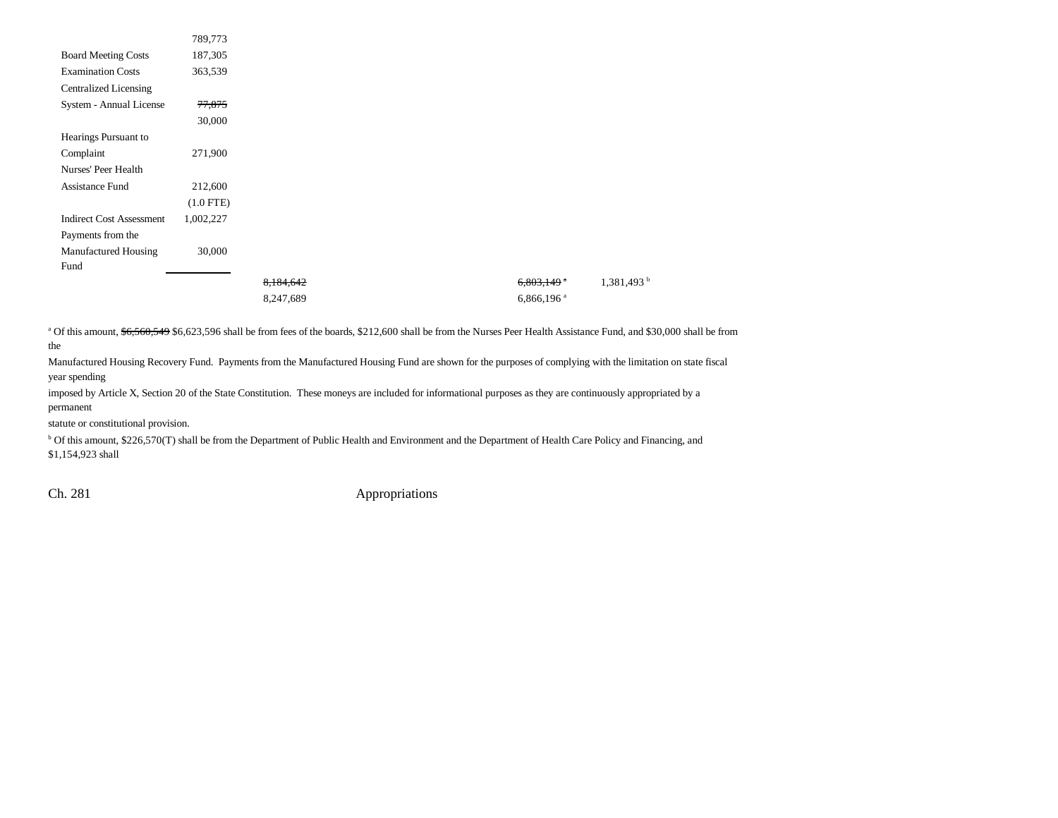|                                 | 789,773     |           |                          |             |
|---------------------------------|-------------|-----------|--------------------------|-------------|
| <b>Board Meeting Costs</b>      | 187,305     |           |                          |             |
| <b>Examination Costs</b>        | 363,539     |           |                          |             |
| <b>Centralized Licensing</b>    |             |           |                          |             |
| System - Annual License         | 77,875      |           |                          |             |
|                                 | 30,000      |           |                          |             |
| Hearings Pursuant to            |             |           |                          |             |
| Complaint                       | 271,900     |           |                          |             |
| Nurses' Peer Health             |             |           |                          |             |
| <b>Assistance Fund</b>          | 212,600     |           |                          |             |
|                                 | $(1.0$ FTE) |           |                          |             |
| <b>Indirect Cost Assessment</b> | 1,002,227   |           |                          |             |
| Payments from the               |             |           |                          |             |
| Manufactured Housing            | 30,000      |           |                          |             |
| Fund                            |             |           |                          |             |
|                                 |             | 8,184,642 | $6,803,149$ $\degree$    | 1,381,493 b |
|                                 |             | 8,247,689 | $6,866,196$ <sup>a</sup> |             |

<sup>a</sup> Of this amount,  $$6,560,549 $6,623,596$  shall be from fees of the boards, \$212,600 shall be from the Nurses Peer Health Assistance Fund, and \$30,000 shall be from

the

Manufactured Housing Recovery Fund. Payments from the Manufactured Housing Fund are shown for the purposes of complying with the limitation on state fiscal year spending

imposed by Article X, Section 20 of the State Constitution. These moneys are included for informational purposes as they are continuously appropriated by a permanent

statute or constitutional provision.

b Of this amount, \$226,570(T) shall be from the Department of Public Health and Environment and the Department of Health Care Policy and Financing, and \$1,154,923 shall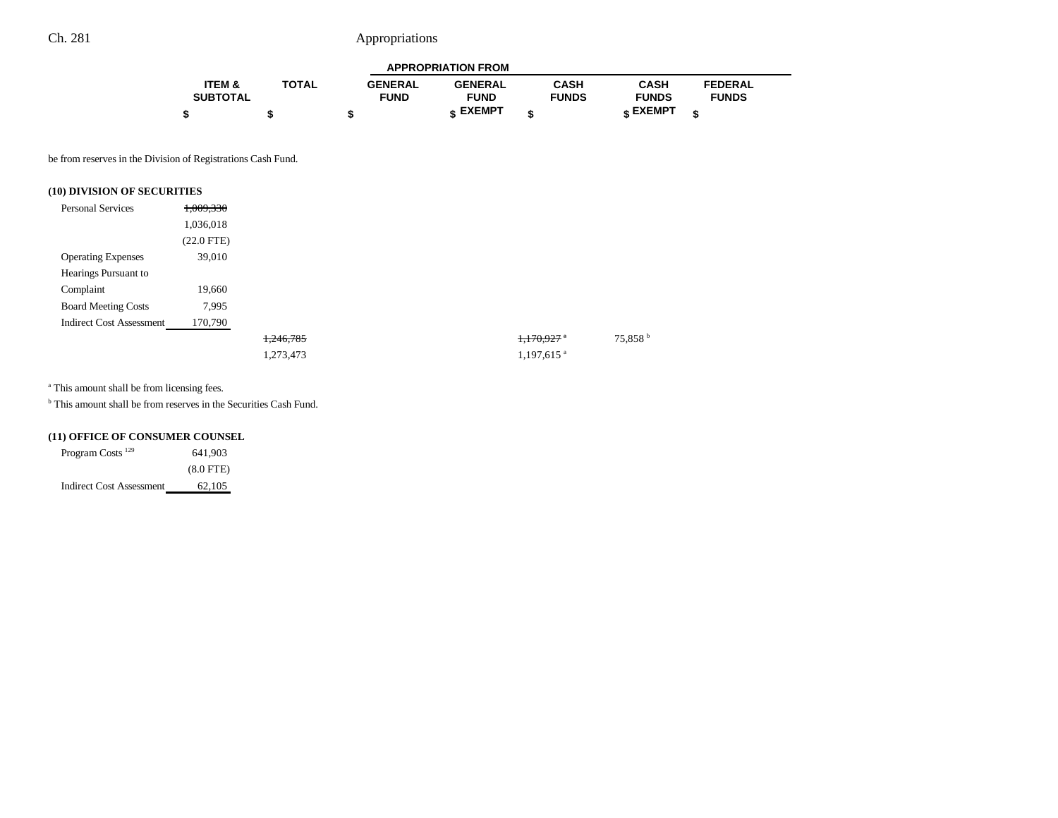| <b>APPROPRIATION FROM</b> |              |                |                 |              |              |                |  |
|---------------------------|--------------|----------------|-----------------|--------------|--------------|----------------|--|
| ITEM &                    | <b>TOTAL</b> | <b>GENERAL</b> | <b>GENERAL</b>  | CASH         | <b>CASH</b>  | <b>FEDERAL</b> |  |
| <b>SUBTOTAL</b>           |              | <b>FUND</b>    | <b>FUND</b>     | <b>FUNDS</b> | <b>FUNDS</b> | <b>FUNDS</b>   |  |
|                           |              |                | <b>« EXEMPT</b> |              | e EXEMPT ہ   |                |  |

be from reserves in the Division of Registrations Cash Fund.

### **(10) DIVISION OF SECURITIES**

| <b>Personal Services</b>        | 1,009,330    |           |  |                        |                     |
|---------------------------------|--------------|-----------|--|------------------------|---------------------|
|                                 | 1,036,018    |           |  |                        |                     |
|                                 | $(22.0$ FTE) |           |  |                        |                     |
| <b>Operating Expenses</b>       | 39,010       |           |  |                        |                     |
| Hearings Pursuant to            |              |           |  |                        |                     |
| Complaint                       | 19,660       |           |  |                        |                     |
| <b>Board Meeting Costs</b>      | 7,995        |           |  |                        |                     |
| <b>Indirect Cost Assessment</b> | 170,790      |           |  |                        |                     |
|                                 |              | 1,246,785 |  | 1,170,927              | 75,858 <sup>b</sup> |
|                                 |              | 1,273,473 |  | 1,197,615 <sup>a</sup> |                     |

<sup>a</sup> This amount shall be from licensing fees.

b This amount shall be from reserves in the Securities Cash Fund.

### **(11) OFFICE OF CONSUMER COUNSEL**

| Program Costs <sup>129</sup>    | 641.903     |
|---------------------------------|-------------|
|                                 | $(8.0$ FTE) |
| <b>Indirect Cost Assessment</b> | 62,105      |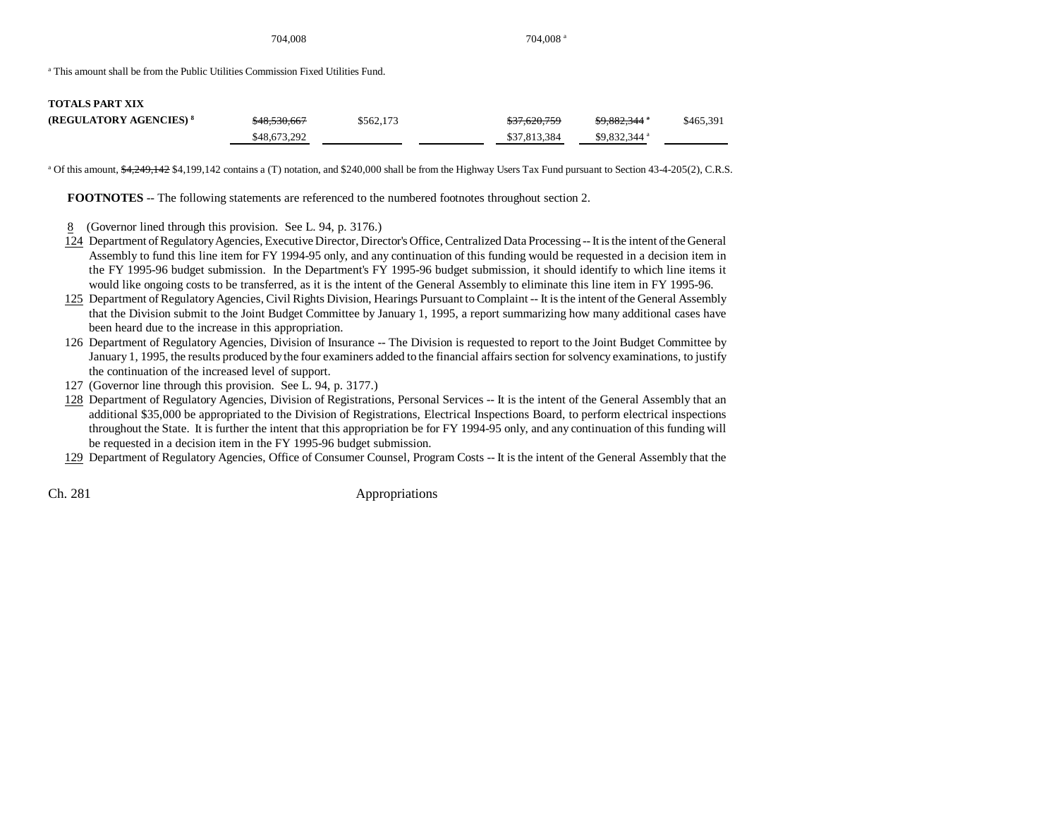704,008 704,008 a

a This amount shall be from the Public Utilities Commission Fixed Utilities Fund.

| <b>TOTALS PART XIX</b>             |                         |           |              |                          |           |
|------------------------------------|-------------------------|-----------|--------------|--------------------------|-----------|
| (REGULATORY AGENCIES) <sup>8</sup> | <del>\$48,530,667</del> | \$562,173 | \$37,620,759 | <del>\$9,882,344</del> * | \$465,391 |
|                                    | \$48,673,292            |           | \$37,813,384 | \$9.832,344 $\degree$    |           |

<sup>a</sup> Of this amount, \$4,249,142 \$4,199,142 contains a (T) notation, and \$240,000 shall be from the Highway Users Tax Fund pursuant to Section 43-4-205(2), C.R.S.

**FOOTNOTES** -- The following statements are referenced to the numbered footnotes throughout section 2.

- 8 (Governor lined through this provision. See L. 94, p. 3176.)
- 124 Department of Regulatory Agencies, Executive Director, Director's Office, Centralized Data Processing -- It is the intent of the General Assembly to fund this line item for FY 1994-95 only, and any continuation of this funding would be requested in a decision item in the FY 1995-96 budget submission. In the Department's FY 1995-96 budget submission, it should identify to which line items it would like ongoing costs to be transferred, as it is the intent of the General Assembly to eliminate this line item in FY 1995-96.
- 125 Department of Regulatory Agencies, Civil Rights Division, Hearings Pursuant to Complaint -- It is the intent of the General Assembly that the Division submit to the Joint Budget Committee by January 1, 1995, a report summarizing how many additional cases have been heard due to the increase in this appropriation.
- 126 Department of Regulatory Agencies, Division of Insurance -- The Division is requested to report to the Joint Budget Committee by January 1, 1995, the results produced by the four examiners added to the financial affairs section for solvency examinations, to justify the continuation of the increased level of support.
- 127 (Governor line through this provision. See L. 94, p. 3177.)
- 128 Department of Regulatory Agencies, Division of Registrations, Personal Services -- It is the intent of the General Assembly that an additional \$35,000 be appropriated to the Division of Registrations, Electrical Inspections Board, to perform electrical inspections throughout the State. It is further the intent that this appropriation be for FY 1994-95 only, and any continuation of this funding will be requested in a decision item in the FY 1995-96 budget submission.

129 Department of Regulatory Agencies, Office of Consumer Counsel, Program Costs -- It is the intent of the General Assembly that the